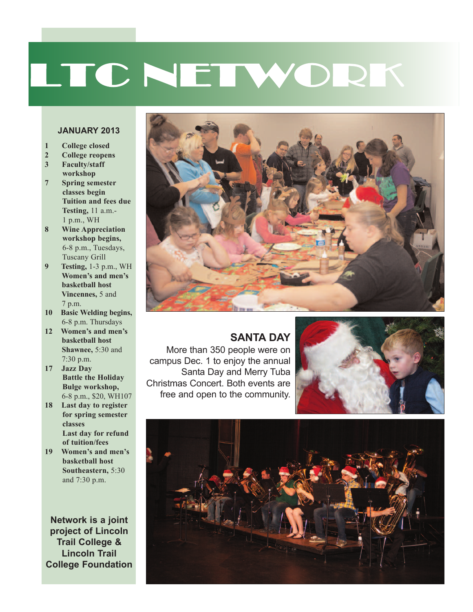# LTC NETWORK

#### **JANUARY 2013**

- **1 College closed**
- **2 College reopens**
- **3 Faculty/staff workshop**
- **7 Spring semester classes begin Tuition and fees due Testing,** 11 a.m.- 1 p.m., WH
- **8 Wine Appreciation workshop begins,** 6-8 p.m., Tuesdays, Tuscany Grill
- **9 Testing,** 1-3 p.m., WH **Women's and men's basketball host Vincennes,** 5 and 7 p.m.
- **10 Basic Welding begins,** 6-8 p.m. Thursdays
- **12 Women's and men's basketball host Shawnee,** 5:30 and 7:30 p.m.
- **17 Jazz Day Battle the Holiday Bulge workshop,** 6-8 p.m., \$20, WH107
- **18 Last day to register for spring semester classes Last day for refund of tuition/fees**
- **19 Women's and men's basketball host Southeastern,** 5:30 and 7:30 p.m.

**Network is a joint project of Lincoln Trail College & Lincoln Trail College Foundation**



### **SANTA DAY**

More than 350 people were on campus Dec. 1 to enjoy the annual Santa Day and Merry Tuba Christmas Concert. Both events are free and open to the community.



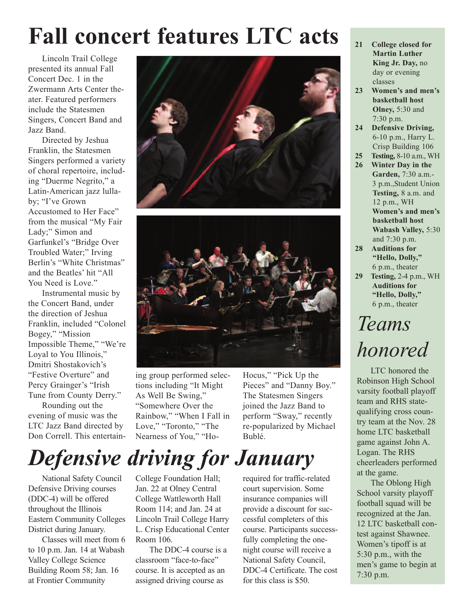## **Fall concert features LTC acts**

Lincoln Trail College presented its annual Fall Concert Dec. 1 in the Zwermann Arts Center theater. Featured performers include the Statesmen Singers, Concert Band and Jazz Band.

Directed by Jeshua Franklin, the Statesmen Singers performed a variety of choral repertoire, including "Duerme Negrito," a Latin-American jazz lullaby; "I've Grown Accustomed to Her Face" from the musical "My Fair Lady;" Simon and Garfunkel's "Bridge Over Troubled Water;" Irving Berlin's "White Christmas" and the Beatles' hit "All You Need is Love."

Instrumental music by the Concert Band, under the direction of Jeshua Franklin, included "Colonel Bogey," "Mission Impossible Theme," "We're Loyal to You Illinois," Dmitri Shostakovich's "Festive Overture" and Percy Grainger's "Irish Tune from County Derry."

Rounding out the evening of music was the LTC Jazz Band directed by Don Correll. This entertain-





ing group performed selections including "It Might As Well Be Swing," "Somewhere Over the Rainbow," "When I Fall in Love," "Toronto," "The Nearness of You," "Ho-

Hocus," "Pick Up the Pieces" and "Danny Boy." The Statesmen Singers joined the Jazz Band to perform "Sway," recently re-popularized by Michael Bublé.

## *Defensive driving for January*

National Safety Council Defensive Driving courses (DDC-4) will be offered throughout the Illinois Eastern Community Colleges District during January.

Classes will meet from 6 to 10 p.m. Jan. 14 at Wabash Valley College Science Building Room 58; Jan. 16 at Frontier Community

College Foundation Hall; Jan. 22 at Olney Central College Wattleworth Hall Room 114; and Jan. 24 at Lincoln Trail College Harry L. Crisp Educational Center Room 106.

The DDC-4 course is a classroom "face-to-face" course. It is accepted as an assigned driving course as

required for traffic-related court supervision. Some insurance companies will provide a discount for successful completers of this course. Participants successfully completing the onenight course will receive a National Safety Council, DDC-4 Certificate. The cost for this class is \$50.

- **21 College closed for Martin Luther King Jr. Day,** no day or evening classes
- **23 Women's and men's basketball host Olney,** 5:30 and 7:30 p.m.
- **24 Defensive Driving,** 6-10 p.m., Harry L. Crisp Building 106
- **25 Testing,** 8-10 a.m., WH
- **26 Winter Day in the Garden,** 7:30 a.m.- 3 p.m.,Student Union **Testing,** 8 a.m. and 12 p.m., WH **Women's and men's basketball host Wabash Valley,** 5:30 and 7:30 p.m.
- **28 Auditions for "Hello, Dolly,"** 6 p.m., theater
- **29 Testing,** 2-4 p.m., WH **Auditions for "Hello, Dolly,"** 6 p.m., theater

### *Teams honored*

LTC honored the Robinson High School varsity football playoff team and RHS statequalifying cross country team at the Nov. 28 home LTC basketball game against John A. Logan. The RHS cheerleaders performed at the game.

The Oblong High School varsity playoff football squad will be recognized at the Jan. 12 LTC basketball contest against Shawnee. Women's tipoff is at 5:30 p.m., with the men's game to begin at 7:30 p.m.